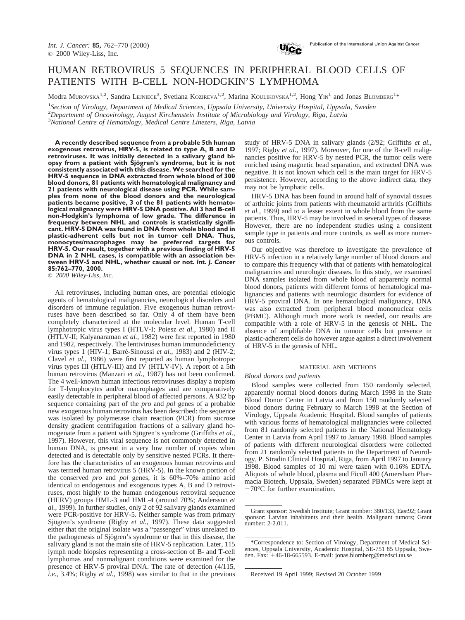

### HUMAN RETROVIRUS 5 SEQUENCES IN PERIPHERAL BLOOD CELLS OF PATIENTS WITH B-CELL NON-HODGKIN'S LYMPHOMA

Modra MUROVSKA<sup>1,2</sup>, Sandra LEJNIECE<sup>3</sup>, Svetlana KOZIREVA<sup>1,2</sup>, Marina KOULIKOVSKA<sup>1,2</sup>, Hong YIN<sup>1</sup> and Jonas BLOMBERG<sup>1\*</sup>

1 *Section of Virology, Department of Medical Sciences, Uppsala University, University Hospital, Uppsala, Sweden* 2 *Department of Oncovirology, August Kirchenstein Institute of Microbiology and Virology, Riga, Latvia* 3 *National Centre of Hematology, Medical Centre Linezers, Riga, Latvia*

**A recently described sequence from a probable 5th human exogenous retrovirus, HRV-5, is related to type A, B and D retroviruses. It was initially detected in a salivary gland biopsy from a patient with Sjögren's syndrome, but it is not consistently associated with this disease. We searched for the HRV-5 sequence in DNA extracted from whole blood of 300 blood donors, 81 patients with hematological malignancy and 21 patients with neurological disease using PCR. While samples from none of the blood donors and the neurological patients became positive, 3 of the 81 patients with hematological malignancy were HRV-5 DNA positive. All 3 had B-cell non-Hodgkin's lymphoma of low grade. The difference in frequency between NHL and controls is statistically significant. HRV-5 DNA was found in DNA from whole blood and in plastic-adherent cells but not in tumor cell DNA. Thus, monocytes/macrophages may be preferred targets for HRV-5. Our result, together with a previous finding of HRV-5 DNA in 2 NHL cases, is compatible with an association between HRV-5 and NHL, whether causal or not.** *Int. J. Cancer* **85:762–770, 2000.**

© *2000 Wiley-Liss, Inc.*

All retroviruses, including human ones, are potential etiologic agents of hematological malignancies, neurological disorders and disorders of immune regulation. Five exogenous human retroviruses have been described so far. Only 4 of them have been completely characterized at the molecular level. Human T-cell lymphotropic virus types I (HTLV-I; Poiesz *et al.,* 1980) and II (HTLV-II; Kalyanaraman *et al.,* 1982) were first reported in 1980 and 1982, respectively. The lentiviruses human immunodeficiency virus types 1 (HIV-1; Barré-Sinoussi *et al.*, 1983) and 2 (HIV-2; Clavel *et al.,* 1986) were first reported as human lymphotropic virus types III (HTLV-III) and IV (HTLV-IV). A report of a 5th human retrovirus (Manzari *et al.,* 1987) has not been confirmed. The 4 well-known human infectious retroviruses display a tropism for T-lymphocytes and/or macrophages and are comparatively easily detectable in peripheral blood of affected persons. A 932 bp sequence containing part of the *pro* and *pol* genes of a probable new exogenous human retrovirus has been described: the sequence was isolated by polymerase chain reaction (PCR) from sucrose density gradient centrifugation fractions of a salivary gland homogenate from a patient with Sjögren's syndrome (Griffiths *et al.*, 1997). However, this viral sequence is not commonly detected in human DNA, is present in a very low number of copies when detected and is detectable only by sensitive nested PCRs. It therefore has the characteristics of an exogenous human retrovirus and was termed human retrovirus 5 (HRV-5). In the known portion of the conserved *pro* and *pol* genes, it is 60%–70% amino acid identical to endogenous and exogenous types A, B and D retroviruses, most highly to the human endogenous retroviral sequence (HERV) groups HML-3 and HML-4 (around 70%; Andersson *et al.,* 1999). In further studies, only 2 of 92 salivary glands examined were PCR-positive for HRV-5. Neither sample was from primary Sjögren's syndrome (Rigby et al., 1997). These data suggested either that the original isolate was a "passenger" virus unrelated to the pathogenesis of Sjögren's syndrome or that in this disease, the salivary gland is not the main site of HRV-5 replication. Later, 115 lymph node biopsies representing a cross-section of B- and T-cell lymphomas and nonmalignant conditions were examined for the presence of HRV-5 proviral DNA. The rate of detection (4/115, *i.e.,* 3.4%; Rigby *et al.,* 1998) was similar to that in the previous

study of HRV-5 DNA in salivary glands (2/92; Griffiths *et al.,* 1997; Rigby *et al.,* 1997). Moreover, for one of the B-cell malignancies positive for HRV-5 by nested PCR, the tumor cells were enriched using magnetic bead separation, and extracted DNA was negative. It is not known which cell is the main target for HRV-5 persistence. However, according to the above indirect data, they may not be lymphatic cells.

HRV-5 DNA has been found in around half of synovial tissues of arthritic joints from patients with rheumatoid arthritis (Griffiths *et al.,* 1999) and to a lesser extent in whole blood from the same patients. Thus, HRV-5 may be involved in several types of disease. However, there are no independent studies using a consistent sample type in patients and more controls, as well as more numerous controls.

Our objective was therefore to investigate the prevalence of HRV-5 infection in a relatively large number of blood donors and to compare this frequency with that of patients with hematological malignancies and neurologic diseases. In this study, we examined DNA samples isolated from whole blood of apparently normal blood donors, patients with different forms of hematological malignancies and patients with neurologic disorders for evidence of HRV-5 proviral DNA. In one hematological malignancy, DNA was also extracted from peripheral blood mononuclear cells (PBMC). Although much more work is needed, our results are compatible with a role of HRV-5 in the genesis of NHL. The absence of amplifiable DNA in tumour cells but presence in plastic-adherent cells do however argue against a direct involvement of HRV-5 in the genesis of NHL.

#### MATERIAL AND METHODS

#### *Blood donors and patients*

Blood samples were collected from 150 randomly selected, apparently normal blood donors during March 1998 in the State Blood Donor Center in Latvia and from 150 randomly selected blood donors during February to March 1998 at the Section of Virology, Uppsala Academic Hospital. Blood samples of patients with various forms of hematological malignancies were collected from 81 randomly selected patients in the National Hematology Center in Latvia from April 1997 to January 1998. Blood samples of patients with different neurological disorders were collected from 21 randomly selected patients in the Department of Neurology, P. Stradin Clinical Hospital, Riga, from April 1997 to January 1998. Blood samples of 10 ml were taken with 0.16% EDTA. Aliquots of whole blood, plasma and Ficoll 400 (Amersham Pharmacia Biotech, Uppsala, Sweden) separated PBMCs were kept at  $-70^{\circ}$ C for further examination.

Grant sponsor: Swedish Institute; Grant number: 380/133, East92; Grant sponsor: Latvian inhabitants and their health. Malignant tumors; Grant number: 2-2.011.

<sup>\*</sup>Correspondence to: Section of Virology, Department of Medical Sciences, Uppsala University, Academic Hospital, SE-751 85 Uppsala, Sweden. Fax: +46-18-665593. E-mail: jonas.blomberg@medsci.uu.se

Received 19 April 1999; Revised 20 October 1999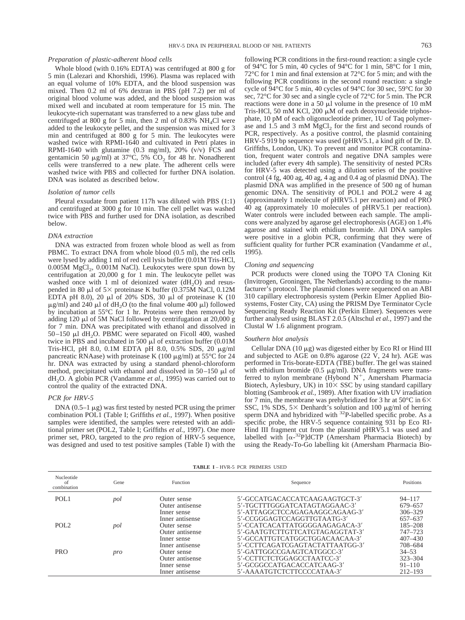#### *Preparation of plastic-adherent blood cells*

Whole blood (with 0.16% EDTA) was centrifuged at 800 g for 5 min (Lalezari and Khorshidi, 1996). Plasma was replaced with an equal volume of 10% EDTA, and the blood suspension was mixed. Then 0.2 ml of 6% dextran in PBS (pH 7.2) per ml of original blood volume was added, and the blood suspension was mixed well and incubated at room temperature for 15 min. The leukocyte-rich supernatant was transferred to a new glass tube and centrifuged at 800 g for 5 min, then 2 ml of  $0.83\%$  NH<sub>4</sub>Cl were added to the leukocyte pellet, and the suspension was mixed for 3 min and centrifuged at 800 g for 5 min. The leukocytes were washed twice with RPMI-1640 and cultivated in Petri plates in RPMI-1640 with glutamine  $(0.3 \text{ mg/ml})$ ,  $20\%$   $(v/v)$  FCS and gentamicin 50  $\mu$ g/ml) at 37°C, 5% CO<sub>2</sub> for 48 hr. Nonadherent cells were transferred to a new plate. The adherent cells were washed twice with PBS and collected for further DNA isolation. DNA was isolated as described below.

#### *Isolation of tumor cells*

Pleural exsudate from patient 117h was diluted with PBS (1:1) and centrifuged at 3000 g for 10 min. The cell pellet was washed twice with PBS and further used for DNA isolation, as described below.

#### *DNA extraction*

DNA was extracted from frozen whole blood as well as from PBMC. To extract DNA from whole blood (0.5 ml), the red cells were lysed by adding 1 ml of red cell lysis buffer (0.01M Tris-HCl,  $0.005M$  MgCl<sub>2</sub>,  $0.001M$  NaCl). Leukocytes were spun down by centrifugation at 20,000 g for 1 min. The leukocyte pellet was washed once with 1 ml of deionized water  $(dH<sub>2</sub>O)$  and resuspended in 80  $\mu$ l of 5× proteinase K buffer (0.375M NaCl, 0.12M EDTA pH 8.0), 20  $\mu$ l of 20% SDS, 30  $\mu$ l of proteinase K (10  $\mu$ g/ml) and 240  $\mu$ l of dH<sub>2</sub>O (to the final volume 400  $\mu$ l) followed by incubation at 55°C for 1 hr. Proteins were then removed by adding 120  $\mu$ l of 5M NaCl followed by centrifugation at 20,000 g for 7 min. DNA was precipitated with ethanol and dissolved in 50–150  $\mu$ l dH<sub>2</sub>O. PBMC were separated on Ficoll 400, washed twice in PBS and incubated in 500  $\mu$ l of extraction buffer (0.01M Tris-HCl, pH 8.0, 0.1M EDTA pH 8.0, 0.5% SDS, 20 µg/ml pancreatic RNAase) with proteinase K (100  $\mu$ g/ml) at 55<sup>o</sup>C for 24 hr. DNA was extracted by using a standard phenol-chloroform method, precipitated with ethanol and dissolved in  $50-150$   $\mu$ l of dH2O. A globin PCR (Vandamme *et al.,* 1995) was carried out to control the quality of the extracted DNA.

#### *PCR for HRV-5*

DNA  $(0.5-1 \mu g)$  was first tested by nested PCR using the primer combination POL1 (Table I; Griffiths *et al.,* 1997). When positive samples were identified, the samples were retested with an additional primer set (POL2, Table I; Griffiths *et al.,* 1997). One more primer set, PRO, targeted to the *pro* region of HRV-5 sequence, was designed and used to test positive samples (Table I) with the following PCR conditions in the first-round reaction: a single cycle of 94°C for 5 min, 40 cycles of 94°C for 1 min, 58°C for 1 min, 72°C for 1 min and final extension at 72°C for 5 min; and with the following PCR conditions in the second round reaction: a single cycle of 94°C for 5 min, 40 cycles of 94°C for 30 sec, 59°C for 30 sec, 72°C for 30 sec and a single cycle of 72°C for 5 min. The PCR reactions were done in a 50  $\mu$ l volume in the presence of 10 mM Tris-HCl, 50 mM KCl, 200  $\mu$ M of each deoxynucleoside triphosphate, 10 pM of each oligonucleotide primer, 1U of Taq polymerase and 1.5 and 3 mM  $MgCl<sub>2</sub>$  for the first and second rounds of PCR, respectively. As a positive control, the plasmid containing HRV-5 919 bp sequence was used (pHRV5.1, a kind gift of Dr. D. Griffiths, London, UK). To prevent and monitor PCR contamination, frequent water controls and negative DNA samples were included (after every 4th sample). The sensitivity of nested PCRs for HRV-5 was detected using a dilution series of the positive control (4 fg, 400 ag, 40 ag, 4 ag and 0.4 ag of plasmid DNA). The plasmid DNA was amplified in the presence of 500 ng of human genomic DNA. The sensitivity of POL1 and POL2 were 4 ag (approximately 1 molecule of pHRV5.1 per reaction) and of PRO 40 ag (approximately 10 molecules of pHRV5.1 per reaction). Water controls were included between each sample. The amplicons were analyzed by agarose gel electrophoresis (AGE) on 1.4% agarose and stained with ethidium bromide. All DNA samples were positive in a globin PCR, confirming that they were of sufficient quality for further PCR examination (Vandamme *et al.,* 1995).

#### *Cloning and sequencing*

PCR products were cloned using the TOPO TA Cloning Kit (Invitrogen, Groningen, The Netherlands) according to the manufacturer's protocol. The plasmid clones were sequenced on an ABI 310 capillary electrophoresis system (Perkin Elmer Applied Biosystems, Foster City, CA) using the PRISM Dye Terminator Cycle Sequencing Ready Reaction Kit (Perkin Elmer). Sequences were further analysed using BLAST 2.0.5 (Altschul *et al.,* 1997) and the Clustal W 1.6 alignment program.

#### *Southern blot analysis*

Cellular DNA  $(10 \mu g)$  was digested either by Eco RI or Hind III and subjected to AGE on 0.8% agarose (22 V, 24 hr). AGE was performed in Tris-borate-EDTA (TBE) buffer. The gel was stained with ethidium bromide (0.5  $\mu$ g/ml). DNA fragments were transferred to nylon membrane (Hybond  $N^+$ , Amersham Pharmacia Biotech, Aylesbury, UK) in  $10 \times$  SSC by using standard capillary blotting (Sambrook *et al.,* 1989). After fixation with UV irradiation for 7 min, the membrane was prehybridized for 3 hr at 50 $\degree$ C in 6 $\times$ SSC, 1% SDS,  $5\times$  Denhardt's solution and 100  $\mu$ g/ml of herring sperm DNA and hybridized with <sup>32</sup>P-labelled specific probe. As a specific probe, the HRV-5 sequence containing 931 bp Eco RI-Hind III fragment cut from the plasmid pHRV5.1 was used and labelled with  $[\alpha^{-32}P]$ dCTP (Amersham Pharmacia Biotech) by using the Ready-To-Go labelling kit (Amersham Pharmacia Bio-

**TABLE I** – HVR-5 PCR PRIMERS USED

| Nucleotide<br>of<br>combination | Gene | <b>Function</b> | Sequence                        | <b>Positions</b> |
|---------------------------------|------|-----------------|---------------------------------|------------------|
| POL <sub>1</sub>                | pol  | Outer sense     | 5'-GCCATGACACCATCAAGAAGTGCT-3'  | $94 - 117$       |
|                                 |      | Outer antisense | 5'-TGCTTTGGGATCATAGTAGGAAC-3'   | 679-657          |
|                                 |      | Inner sense     | 5'-ATTAGGCTCCAGAGAAGGCAGAAG-3'  | $306 - 329$      |
|                                 |      | Inner antisense | 5'-CCGGGAGTCCAGGTTGTAATG-3'     | 657-637          |
| POL <sub>2</sub>                | pol  | Outer sense     | 5'-CCATCACATTATGGGGAAGAGACA-3'  | $185 - 208$      |
|                                 |      | Outer antisense | 5'-GAATGTCTTGTTCATGTAGAGGTAT-3' | 747-723          |
|                                 |      | Inner sense     | 5'-GCCATTGTCATGGCTGGACAACAA-3'  | $407 - 430$      |
|                                 |      | Inner antisense | 5'-CCTTCAGATCGAGTACTATTAATGG-3' | 708-684          |
| <b>PRO</b>                      | pro  | Outer sense     | 5'-GATTGGCCGAAGTCATGGCC-3'      | $34 - 53$        |
|                                 |      | Outer antisense | 5'-CCTTCTCTGGAGCCTAATCC-3'      | $323 - 304$      |
|                                 |      | Inner sense     | 5'-GCGGCCATGACACCATCAAG-3'      | $91 - 110$       |
|                                 |      | Inner antisense | 5'-AAAATGTCTCTTCCCCATAA-3'      | $212 - 193$      |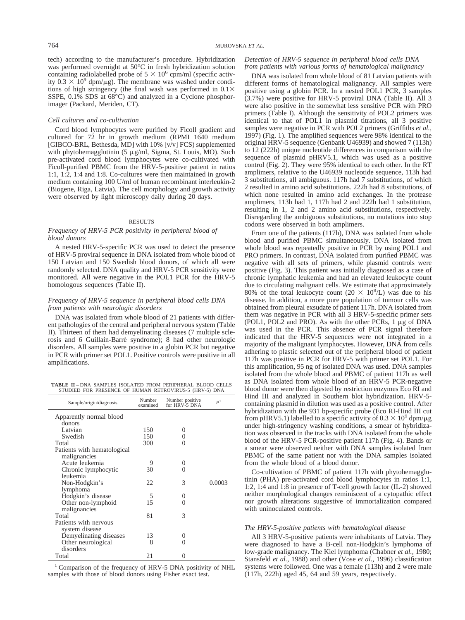tech) according to the manufacturer's procedure. Hybridization was performed overnight at 50°C in fresh hybridization solution containing radiolabelled probe of  $5 \times 10^6$  cpm/ml (specific activity  $0.3 \times 10^9$  dpm/ $\mu$ g). The membrane was washed under conditions of high stringency (the final wash was performed in  $0.1 \times$ SSPE, 0.1% SDS at 68°C) and analyzed in a Cyclone phosphorimager (Packard, Meriden, CT).

#### *Cell cultures and co-cultivation*

Cord blood lymphocytes were purified by Ficoll gradient and cultured for 72 hr in growth medium (RPMI 1640 medium [GIBCO-BRL, Bethesda, MD] with 10% [v/v] FCS) supplemented with phytohemagglutinin  $(5 \mu g/ml, Sigma, St. Louis, MO)$ . Such pre-activated cord blood lymphocytes were co-cultivated with Ficoll-purified PBMC from the HRV-5-positive patient in ratios 1:1, 1:2, 1:4 and 1:8. Co-cultures were then maintained in growth medium containing 100 U/ml of human recombinant interleukin-2 (Biogene, Riga, Latvia). The cell morphology and growth activity were observed by light microscopy daily during 20 days.

#### RESULTS

#### *Frequency of HRV-5 PCR positivity in peripheral blood of blood donors*

A nested HRV-5-specific PCR was used to detect the presence of HRV-5 proviral sequence in DNA isolated from whole blood of 150 Latvian and 150 Swedish blood donors, of which all were randomly selected. DNA quality and HRV-5 PCR sensitivity were monitored. All were negative in the POL1 PCR for the HRV-5 homologous sequences (Table II).

#### *Frequency of HRV-5 sequence in peripheral blood cells DNA from patients with neurologic disorders*

DNA was isolated from whole blood of 21 patients with different pathologies of the central and peripheral nervous system (Table II). Thirteen of them had demyelinating diseases (7 multiple sclerosis and 6 Guillain-Barré syndrome); 8 had other neurologic disorders. All samples were positive in a globin PCR but negative in PCR with primer set POL1. Positive controls were positive in all amplifications.

**TABLE II** – DNA SAMPLES ISOLATED FROM PERIPHERAL BLOOD CELLS STUDIED FOR PRESENCE OF HUMAN RETROVIRUS-5 (HRV-5) DNA

| Sample/origin/diagnosis     | Number<br>examined | Number positive<br>for HRV-5 DNA | P <sup>1</sup> |
|-----------------------------|--------------------|----------------------------------|----------------|
| Apparently normal blood     |                    |                                  |                |
| donors                      |                    |                                  |                |
| Latvian                     | 150                | 0                                |                |
| Swedish                     | 150                | $\theta$                         |                |
| Total                       | 300                | 0                                |                |
| Patients with hematological |                    |                                  |                |
| malignancies                |                    |                                  |                |
| Acute leukemia              | 9                  | $\Omega$                         |                |
| Chronic lymphocytic         | 30                 | 0                                |                |
| leukemia                    |                    |                                  |                |
| Non-Hodgkin's               | 22                 | 3                                | 0.0003         |
| lymphoma                    |                    |                                  |                |
| Hodgkin's disease           | 5                  | 0                                |                |
| Other non-lymphoid          | 15                 | 0                                |                |
| malignancies                |                    |                                  |                |
| Total                       | 81                 | 3                                |                |
| Patients with nervous       |                    |                                  |                |
| system disease              |                    |                                  |                |
| Demyelinating diseases      | 13                 | 0                                |                |
| Other neurological          | 8                  | 0                                |                |
| disorders                   |                    |                                  |                |
| Total                       | 21                 | 0                                |                |

<sup>1</sup> Comparison of the frequency of HRV-5 DNA positivity of NHL samples with those of blood donors using Fisher exact test.

#### *Detection of HRV-5 sequence in peripheral blood cells DNA from patients with various forms of hematological malignancy*

DNA was isolated from whole blood of 81 Latvian patients with different forms of hematological malignancy. All samples were positive using a globin PCR. In a nested POL1 PCR, 3 samples (3.7%) were positive for HRV-5 proviral DNA (Table II). All 3 were also positive in the somewhat less sensitive PCR with PRO primers (Table I). Although the sensitivity of POL2 primers was identical to that of POL1 in plasmid titrations, all 3 positive samples were negative in PCR with POL2 primers (Griffiths *et al.,* 1997) (Fig. 1). The amplified sequences were 98% identical to the original HRV-5 sequence (Genbank U46939) and showed 7 (113h) to 12 (222h) unique nucleotide differences in comparison with the sequence of plasmid pHRV5.1, which was used as a positive control (Fig. 2). They were 95% identical to each other. In the RT amplimers, relative to the U46939 nucleotide sequence, 113h had 3 substitutions, all ambiguous. 117h had 7 substitutions, of which 2 resulted in amino acid substitutions. 222h had 8 substitutions, of which none resulted in amino acid exchanges. In the protease amplimers, 113h had 1, 117h had 2 and 222h had 1 substitution, resulting in 1, 2 and 2 amino acid substitutions, respectively. Disregarding the ambiguous substitutions, no mutations into stop codons were observed in both amplimers.

From one of the patients (117h), DNA was isolated from whole blood and purified PBMC simultaneously. DNA isolated from whole blood was repeatedly positive in PCR by using POL1 and PRO primers. In contrast, DNA isolated from purified PBMC was negative with all sets of primers, while plasmid controls were positive (Fig. 3). This patient was initially diagnosed as a case of chronic lymphatic leukemia and had an elevated leukocyte count due to circulating malignant cells. We estimate that approximately 80% of the total leukocyte count  $(20 \times 10^9)$  was due to his disease. In addition, a more pure population of tumour cells was obtained from pleural exsudate of patient 117h. DNA isolated from them was negative in PCR with all 3 HRV-5-specific primer sets (POL1, POL2 and PRO). As with the other PCRs,  $1 \mu g$  of DNA was used in the PCR. This absence of PCR signal therefore indicated that the HRV-5 sequences were not integrated in a majority of the malignant lymphocytes. However, DNA from cells adhering to plastic selected out of the peripheral blood of patient 117h was positive in PCR for HRV-5 with primer set POL1. For this amplification, 95 ng of isolated DNA was used. DNA samples isolated from the whole blood and PBMC of patient 117h as well as DNA isolated from whole blood of an HRV-5 PCR-negative blood donor were then digested by restriction enzymes Eco RI and Hind III and analyzed in Southern blot hybridization. HRV-5 containing plasmid in dilution was used as a positive control. After hybridization with the 931 bp-specific probe (Eco RI-Hind III cut from pHRV5.1) labelled to a specific activity of  $0.3 \times 10^9$  dpm/ $\mu$ g under high-stringency washing conditions, a smear of hybridization was observed in the tracks with DNA isolated from the whole blood of the HRV-5 PCR-positive patient 117h (Fig. 4). Bands or a smear were observed neither with DNA samples isolated from PBMC of the same patient nor with the DNA samples isolated from the whole blood of a blood donor.

Co-cultivation of PBMC of patient 117h with phytohemagglutinin (PHA) pre-activated cord blood lymphocytes in ratios 1:1, 1:2, 1:4 and 1:8 in presence of T-cell growth factor (IL-2) showed neither morphological changes reminiscent of a cytopathic effect nor growth alterations suggestive of immortalization compared with uninoculated controls.

#### *The HRV-5-positive patients with hematological disease*

All 3 HRV-5-positive patients were inhabitants of Latvia. They were diagnosed to have a B-cell non-Hodgkin's lymphoma of low-grade malignancy. The Kiel lymphoma (Chabner *et al.,* 1980; Stansfeld *et al.,* 1988) and other (Vose *et al.,* 1996) classification systems were followed. One was a female (113h) and 2 were male (117h, 222h) aged 45, 64 and 59 years, respectively.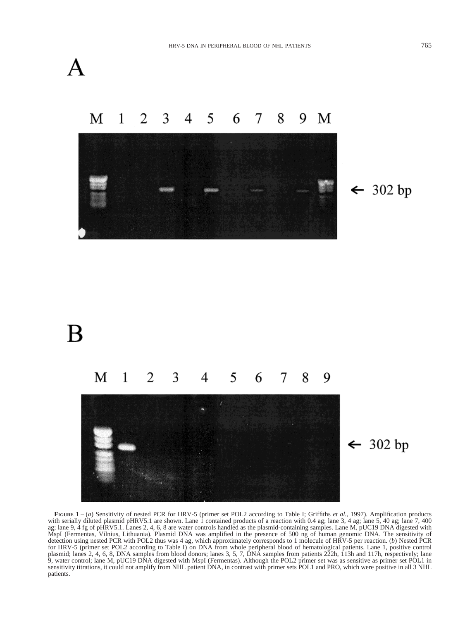



**FIGURE 1** – (*a*) Sensitivity of nested PCR for HRV-5 (primer set POL2 according to Table I; Griffiths *et al.,* 1997). Amplification products with serially diluted plasmid pHRV5.1 are shown. Lane 1 contained products of a reaction with 0.4 ag; lane 3, 4 ag; lane 5, 40 ag; lane 7, 400 ag; lane 9, 4 fg of pHRV5.1. Lanes 2, 4, 6, 8 are water controls handled as the plasmid-containing samples. Lane M, pUC19 DNA digested with MspI (Fermentas, Vilnius, Lithuania). Plasmid DNA was amplified in the presence of 500 ng of human genomic DNA. The sensitivity of detection using nested PCR with POL2 thus was 4 ag, which approximately corresponds to 1 molecule of HRV-5 per reaction. (*b*) Nested PCR for HRV-5 (primer set POL2 according to Table I) on DNA from whole peripheral blood of hematological patients. Lane 1, positive control plasmid; lanes 2, 4, 6, 8, DNA samples from blood donors; lanes 3, 5, 7, DNA samples from patients 222h, 113h and 117h, respectively; lane 9, water control; lane M, pUC19 DNA digested with MspI (Fermentas). Although the POL2 primer set was as sensitive as primer set POL1 in sensitivity titrations, it could not amplify from NHL patient DNA, in contrast with primer sets POL1 and PRO, which were positive in all 3 NHL patients.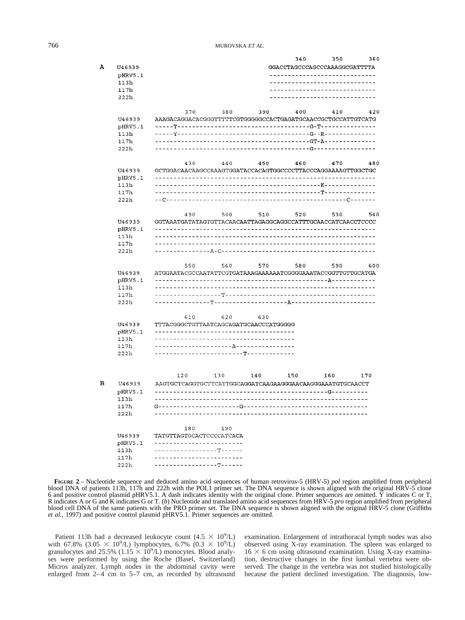|   |                 |                                                              |                                     |                   | 340                                   | 350                   | 360 |
|---|-----------------|--------------------------------------------------------------|-------------------------------------|-------------------|---------------------------------------|-----------------------|-----|
| А | U46939          |                                                              |                                     |                   | GGACCTAGCCCAGCCCAAAGGCGATTTTA         |                       |     |
|   | pHRV5.1         |                                                              |                                     |                   | -----------------------               |                       |     |
|   | 113h            |                                                              |                                     |                   |                                       |                       |     |
|   | 117h            |                                                              |                                     |                   |                                       |                       |     |
|   | 222h            |                                                              |                                     |                   |                                       |                       |     |
|   |                 | 370                                                          | 380                                 | 390               | 400                                   | 410                   | 420 |
|   | U46939          | AAAGACAGGACACGGGTTTTTCGTGGGGGCCACTGAGATGCAACCGCTGCCATTGTCATG |                                     |                   |                                       |                       |     |
|   | pHRV5.1         |                                                              |                                     |                   |                                       |                       |     |
|   | 113h            | -----Y--------------                                         |                                     |                   | --------------------G--R------------  |                       |     |
|   | 117h            |                                                              |                                     |                   |                                       |                       |     |
|   | 222h            |                                                              |                                     |                   | --------G--------                     |                       |     |
|   |                 | 430                                                          | 440                                 | 450               | 460                                   | 470                   | 480 |
|   | U46939          | GCTGGACAACAAGCCAAAGTGGATACCACAGTGGCCCCTTACCCAGGAAAAGTTGGCTGC |                                     |                   |                                       |                       |     |
|   | pHRV5.1         |                                                              |                                     |                   |                                       |                       |     |
|   | 113h            |                                                              |                                     |                   | ----------------------K-------------- |                       |     |
|   | 117h            |                                                              |                                     |                   |                                       |                       |     |
|   | 222h            |                                                              |                                     | ----------------- |                                       | -----------------     |     |
|   |                 | 490                                                          | 500                                 | 510               | 520                                   | 530                   | 540 |
|   | U46939          | GGTAAATGATATAGTGTTACAACAATTAGAGGCAGGCCATTTGCAACCATCAACCTCCCC |                                     |                   |                                       |                       |     |
|   | pHRV5.1         |                                                              |                                     |                   |                                       |                       |     |
|   | 113h<br>117h    |                                                              | ----------------------              |                   |                                       |                       |     |
|   | 222h            |                                                              | ----------A-C------                 |                   |                                       |                       |     |
|   |                 |                                                              |                                     |                   |                                       |                       |     |
|   |                 | 550                                                          | 560                                 | 570               | 580                                   | 590                   | 600 |
|   | U46939          | ATGGAATACGCCAATATTCGTGATAAAGAAAAAATCGGGGAAATACCGGTTGTTGCATGA | ----------------------------        |                   |                                       | -----------A--------- |     |
|   | pHRV5.1<br>113h |                                                              |                                     |                   |                                       |                       |     |
|   | 117h            |                                                              | -----T----------------              |                   |                                       |                       |     |
|   | 222h            |                                                              | --------T--------------------A----- |                   |                                       |                       |     |
|   |                 |                                                              |                                     |                   |                                       |                       |     |
|   | U46939          | 610<br>TTTACGGGCTGTTAATCAGCAGATGCAACCCATGGGGG                | 620                                 | 630               |                                       |                       |     |
|   | pHRV5.1         |                                                              | --------------                      |                   |                                       |                       |     |
|   | 113h            |                                                              | -------------------                 |                   |                                       |                       |     |
|   | 117h            |                                                              |                                     |                   |                                       |                       |     |
|   | 222h            |                                                              | ------------T-------------          |                   |                                       |                       |     |
|   |                 |                                                              |                                     |                   |                                       |                       |     |
|   |                 | 120                                                          | 130                                 | 140               | 150                                   | 160                   | 170 |
| в | U46939          | AAGTGCTCAGGTGCTTCATTGGCAGGATCAAGAAGGGAACAAGGGAAATGTGCAACCT   |                                     |                   |                                       |                       |     |
|   | pHRV5.1         |                                                              |                                     |                   |                                       |                       |     |
|   | 113h            |                                                              |                                     |                   |                                       |                       |     |
|   | 117h<br>222h    | G----------------------G-----------                          |                                     |                   |                                       |                       |     |
|   |                 | 180                                                          | 190                                 |                   |                                       |                       |     |
|   | U46939          | TATGTTAGTGCACTCCCCATCACA                                     |                                     |                   |                                       |                       |     |
|   | pHRV5.1         | ----------------------                                       |                                     |                   |                                       |                       |     |
|   | 113h            | ---------------T-----                                        |                                     |                   |                                       |                       |     |
|   | 117h            |                                                              | ---------------------               |                   |                                       |                       |     |
|   | 222h            |                                                              | --------------T-----                |                   |                                       |                       |     |

**FIGURE 2** – Nucleotide sequence and deduced amino acid sequences of human retrovirus-5 (HRV-5) *pol* region amplified from peripheral blood DNA of patients 113h, 117h and 222h with the POL1 primer set. The DNA sequence is shown aligned with the original HRV-5 clone 6 and positive control plasmid pHRV5.1. A dash indicates identity with the original clone. Primer sequences are omitted. Y indicates C or T, R indicates A or G and K indicates G or T. (*b*) Nucleotide and translated amino acid sequences from HRV-5 *pro* region amplified from peripheral blood cell DNA of the same patients with the PRO primer set. The DNA sequence is shown aligned with the original HRV-5 clone (Griffiths *et al.,* 1997) and positive control plasmid pHRV5.1. Primer sequences are omitted.

Patient 113h had a decreased leukocyte count  $(4.5 \times 10^9/\text{L})$ with 67.8%  $(3.05 \times 10^9/\text{L})$  lymphocytes, 6.7%  $(0.3 \times 10^9/\text{L})$ <br>granulocytes and 25.5%  $(1.15 \times 10^9/\text{L})$  monocytes. Blood analyses were performed by using the Roche (Basel, Switzerland) Micros analyzer. Lymph nodes in the abdominal cavity were enlarged from 2–4 cm to 5–7 cm, as recorded by ultrasound

examination. Enlargement of intrathoracal lymph nodes was also observed using X-ray examination. The spleen was enlarged to  $16 \times 6$  cm using ultrasound examination. Using X-ray examination, destructive changes in the first lumbal vertebra were observed. The change in the vertebra was not studied histologically because the patient declined investigation. The diagnosis, low-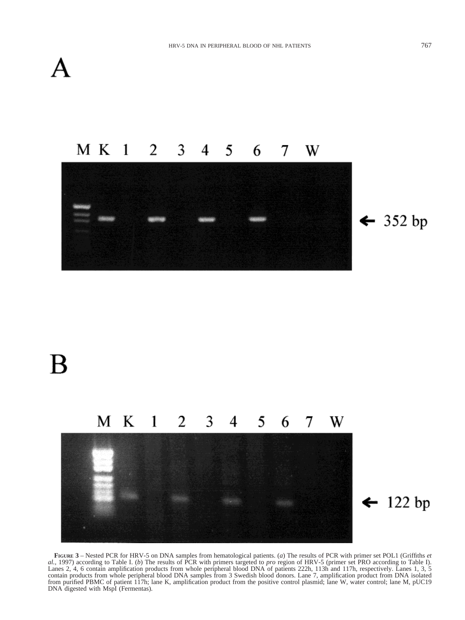

#### $M K 1$ 2 3 4 5 6 W 7



 $\leftarrow$  352 bp

# B



## $\leftarrow$  122 bp

**FIGURE 3** – Nested PCR for HRV-5 on DNA samples from hematological patients. (*a*) The results of PCR with primer set POL1 (Griffiths *et al.,* 1997) according to Table I. (*b*) The results of PCR with primers targeted to *pro* region of HRV-5 (primer set PRO according to Table I). Lanes 2, 4, 6 contain amplification products from whole peripheral blood DNA of patients 222h, 113h and 117h, respectively. Lanes 1, 3, 5 contain products from whole peripheral blood DNA samples from 3 Swedish blood donors. Lane 7, amplification product from DNA isolated from purified PBMC of patient 117h; lane K, amplification product from the positive control plasmid; lane W, water control; lane M, pUC19 DNA digested with MspI (Fermentas).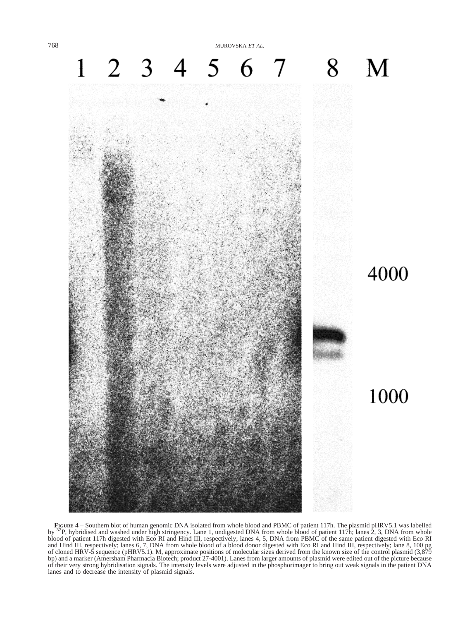768 MUROVSKA *ET AL.*



**FIGURE 4** – Southern blot of human genomic DNA isolated from whole blood and PBMC of patient 117h. The plasmid pHRV5.1 was labelled<br>by  $^{32}P$ , hybridised and washed under high stringency. Lane 1, undigested DNA from who blood of patient 117h digested with Eco RI and Hind III, respectively; lanes 4, 5, DNA from PBMC of the same patient digested with Eco RI and Hind III, respectively; lanes 6, 7, DNA from whole blood of a blood donor digested with Eco RI and Hind III, respectively; lane 8, 100 pg of cloned HRV-5 sequence (pHRV5.1). M, approximate positions of molecular sizes derived from the known size of the control plasmid (3,879 bp) and a marker (Amersham Pharmacia Biotech; product 27-4001). Lanes from larger amounts of plasmid were edited out of the picture because of their very strong hybridisation signals. The intensity levels were adjusted in the phosphorimager to bring out weak signals in the patient DNA lanes and to decrease the intensity of plasmid signals.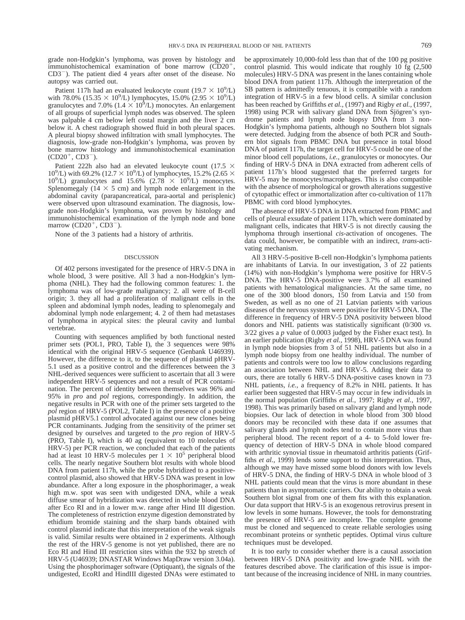grade non-Hodgkin's lymphoma, was proven by histology and immunohistochemical examination of bone marrow  $(CD20<sup>+</sup>,$  $CD3^-$ ). The patient died 4 years after onset of the disease. No autopsy was carried out.

Patient 117h had an evaluated leukocyte count ( $19.7 \times 10^9$ /L) with 78.0% (15.35  $\times$  10<sup>9</sup>/L) lymphocytes, 15.0% (2.95  $\times$  10<sup>9</sup>/L) granulocytes and 7.0%  $(1.4 \times 10^6$ /L) monocytes. An enlargement of all groups of superficial lymph nodes was observed. The spleen was palpable 4 cm below left costal margin and the liver 2 cm below it. A chest radiograph showed fluid in both pleural spaces. A pleural biopsy showed infiltration with small lymphocytes. The diagnosis, low-grade non-Hodgkin's lymphoma, was proven by bone marrow histology and immunohistochemical examination  $(CD20^{+}, CD3^{-}).$ 

Patient 222h also had an elevated leukocyte count (17.5  $\times$ 10<sup>9</sup>/L) with 69.2% (12.7  $\times$  10<sup>9</sup>/L) of lymphocytes, 15.2% (2.65  $\times$  $10^9$ /L) granulocytes and  $15.6\%$   $(2.78 \times 10^9)$ /L) monocytes. Splenomegaly ( $14 \times 5$  cm) and lymph node enlargement in the abdominal cavity (parapancreatical, para-aortal and perisplenic) were observed upon ultrasound examination. The diagnosis, lowgrade non-Hodgkin's lymphoma, was proven by histology and immunohistochemical examination of the lymph node and bone marrow  $(CD20^+, CD3^-)$ .

None of the 3 patients had a history of arthritis.

#### DISCUSSION

Of 402 persons investigated for the presence of HRV-5 DNA in whole blood, 3 were positive. All 3 had a non-Hodgkin's lymphoma (NHL). They had the following common features: 1. the lymphoma was of low-grade malignancy; 2. all were of B-cell origin; 3. they all had a proliferation of malignant cells in the spleen and abdominal lymph nodes, leading to splenomegaly and abdominal lymph node enlargement; 4. 2 of them had metastases of lymphoma in atypical sites: the pleural cavity and lumbal vertebrae.

Counting with sequences amplified by both functional nested primer sets (POL1, PRO, Table I), the 3 sequences were 98% identical with the original HRV-5 sequence (Genbank U46939). However, the difference to it, to the sequence of plasmid pHRV-5.1 used as a positive control and the differences between the 3 NHL-derived sequences were sufficient to ascertain that all 3 were independent HRV-5 sequences and not a result of PCR contamination. The percent of identity between themselves was 96% and 95% in *pro* and *pol* regions, correspondingly. In addition, the negative results in PCR with one of the primer sets targeted to the *pol* region of HRV-5 (POL2, Table I) in the presence of a positive plasmid pHRV5.1 control advocated against our new clones being PCR contaminants. Judging from the sensitivity of the primer set designed by ourselves and targeted to the *pro* region of HRV-5 (PRO, Table I), which is 40 ag (equivalent to 10 molecules of HRV-5) per PCR reaction, we concluded that each of the patients had at least 10 HRV-5 molecules per  $1 \times 10^5$  peripheral blood cells. The nearly negative Southern blot results with whole blood DNA from patient 117h, while the probe hybridized to a positivecontrol plasmid, also showed that HRV-5 DNA was present in low abundance. After a long exposure in the phosphorimager, a weak high m.w. spot was seen with undigested DNA, while a weak diffuse smear of hybridization was detected in whole blood DNA after Eco RI and in a lower m.w. range after Hind III digestion. The completeness of restriction enzyme digestion demonstrated by ethidium bromide staining and the sharp bands obtained with control plasmid indicate that this interpretation of the weak signals is valid. Similar results were obtained in 2 experiments. Although the rest of the HRV-5 genome is not yet published, there are no Eco RI and Hind III restriction sites within the 932 bp stretch of HRV-5 (U46939; DNASTAR Windows MapDraw version 3.04a). Using the phosphorimager software (Optiquant), the signals of the undigested, EcoRI and HindIII digested DNAs were estimated to

be approximately 10,000-fold less than that of the 100 pg positive control plasmid. This would indicate that roughly 10 fg (2,500 molecules) HRV-5 DNA was present in the lanes containing whole blood DNA from patient 117h. Although the interpretation of the SB pattern is admittedly tenuous, it is compatible with a random integration of HRV-5 in a few blood cells. A similar conclusion has been reached by Griffiths *et al.,* (1997) and Rigby *et al.,* (1997, 1998) using PCR with salivary gland DNA from Sjögren's syndrome patients and lymph node biopsy DNA from 3 non-Hodgkin's lymphoma patients, although no Southern blot signals were detected. Judging from the absence of both PCR and Southern blot signals from PBMC DNA but presence in total blood DNA of patient 117h, the target cell for HRV-5 could be one of the minor blood cell populations, *i.e.,* granulocytes or monocytes. Our finding of HRV-5 DNA in DNA extracted from adherent cells of patient 117h's blood suggested that the preferred targets for HRV-5 may be monocytes/macrophages. This is also compatible with the absence of morphological or growth alterations suggestive of cytopathic effect or immortalization after co-cultivation of 117h PBMC with cord blood lymphocytes.

The absence of HRV-5 DNA in DNA extracted from PBMC and cells of pleural exsudate of patient 117h, which were dominated by malignant cells, indicates that HRV-5 is not directly causing the lymphoma through insertional *cis*-activation of oncogenes. The data could, however, be compatible with an indirect, *trans*-activating mechanism.

All 3 HRV-5-positive B-cell non-Hodgkin's lymphoma patients are inhabitants of Latvia. In our investigation, 3 of 22 patients (14%) with non-Hodgkin's lymphoma were positive for HRV-5 DNA. The HRV-5 DNA-positive were 3.7% of all examined patients with hematological malignancies. At the same time, no one of the 300 blood donors, 150 from Latvia and 150 from Sweden, as well as no one of 21 Latvian patients with various diseases of the nervous system were positive for HRV-5 DNA. The difference in frequency of HRV-5 DNA positivity between blood donors and NHL patients was statistically significant (0/300 *vs.* 3/22 gives a *p* value of 0.0003 judged by the Fisher exact test). In an earlier publication (Rigby *et al.,* 1998), HRV-5 DNA was found in lymph node biopsies from 3 of 51 NHL patients but also in a lymph node biopsy from one healthy individual. The number of patients and controls were too low to allow conclusions regarding an association between NHL and HRV-5. Adding their data to ours, there are totally 6 HRV-5 DNA-positive cases known in 73 NHL patients, *i.e.,* a frequency of 8.2% in NHL patients. It has earlier been suggested that HRV-5 may occur in few individuals in the normal population (Griffiths *et al.,* 1997; Rigby *et al.,* 1997, 1998). This was primarily based on salivary gland and lymph node biopsies. Our lack of detection in whole blood from 300 blood donors may be reconciled with these data if one assumes that salivary glands and lymph nodes tend to contain more virus than peripheral blood. The recent report of a 4- to 5-fold lower frequency of detection of HRV-5 DNA in whole blood compared with arthritic synovial tissue in rheumatoid arthritis patients (Griffiths *et al.,* 1999) lends some support to this interpretation. Thus, although we may have missed some blood donors with low levels of HRV-5 DNA, the finding of HRV-5 DNA in whole blood of 3 NHL patients could mean that the virus is more abundant in these patients than in asymptomatic carriers. Our ability to obtain a weak Southern blot signal from one of them fits with this explanation. Our data support that HRV-5 is an exogenous retrovirus present in low levels in some humans. However, the tools for demonstrating the presence of HRV-5 are incomplete. The complete genome must be cloned and sequenced to create reliable serologies using recombinant proteins or synthetic peptides. Optimal virus culture techniques must be developed.

It is too early to consider whether there is a causal association between HRV-5 DNA positivity and low-grade NHL with the features described above. The clarification of this issue is important because of the increasing incidence of NHL in many countries.